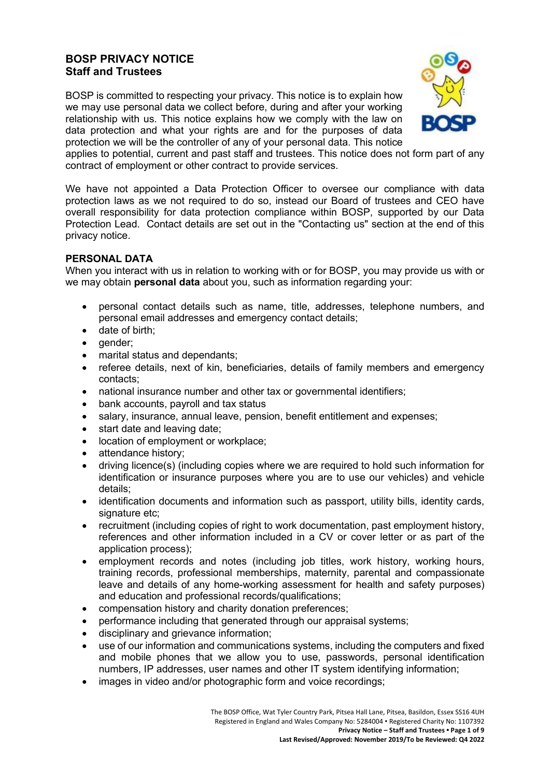# **BOSP PRIVACY NOTICE Staff and Trustees**

BOSP is committed to respecting your privacy. This notice is to explain how we may use personal data we collect before, during and after your working relationship with us. This notice explains how we comply with the law on data protection and what your rights are and for the purposes of data protection we will be the controller of any of your personal data. This notice



applies to potential, current and past staff and trustees. This notice does not form part of any contract of employment or other contract to provide services.

We have not appointed a Data Protection Officer to oversee our compliance with data protection laws as we not required to do so, instead our Board of trustees and CEO have overall responsibility for data protection compliance within BOSP, supported by our Data Protection Lead. Contact details are set out in the "Contacting us" section at the end of this privacy notice.

### **PERSONAL DATA**

When you interact with us in relation to working with or for BOSP, you may provide us with or we may obtain **personal data** about you, such as information regarding your:

- personal contact details such as name, title, addresses, telephone numbers, and personal email addresses and emergency contact details;
- date of birth;
- gender;
- marital status and dependants;
- referee details, next of kin, beneficiaries, details of family members and emergency contacts;
- national insurance number and other tax or governmental identifiers;
- bank accounts, payroll and tax status
- salary, insurance, annual leave, pension, benefit entitlement and expenses;
- start date and leaving date;
- location of employment or workplace:
- attendance history;
- driving licence(s) (including copies where we are required to hold such information for identification or insurance purposes where you are to use our vehicles) and vehicle details;
- identification documents and information such as passport, utility bills, identity cards, signature etc;
- recruitment (including copies of right to work documentation, past employment history, references and other information included in a CV or cover letter or as part of the application process);
- employment records and notes (including job titles, work history, working hours, training records, professional memberships, maternity, parental and compassionate leave and details of any home-working assessment for health and safety purposes) and education and professional records/qualifications;
- compensation history and charity donation preferences;
- performance including that generated through our appraisal systems;
- disciplinary and grievance information;
- use of our information and communications systems, including the computers and fixed and mobile phones that we allow you to use, passwords, personal identification numbers, IP addresses, user names and other IT system identifying information;
- images in video and/or photographic form and voice recordings;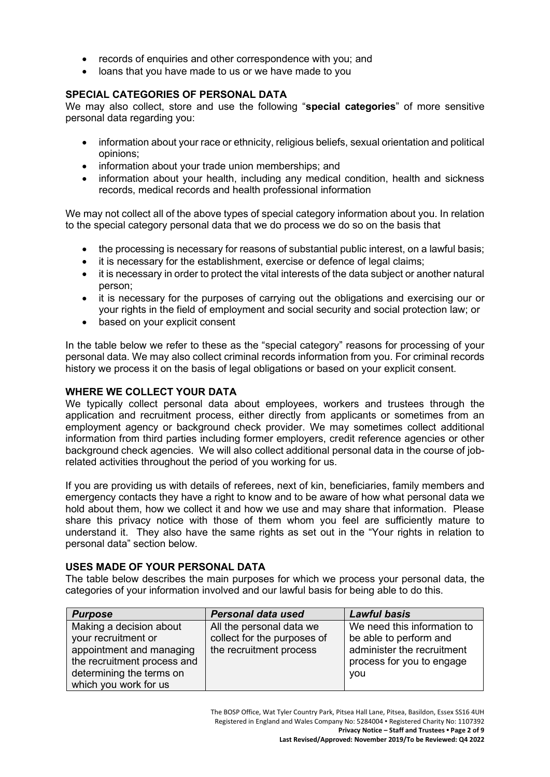- records of enquiries and other correspondence with you: and
- loans that you have made to us or we have made to you

### **SPECIAL CATEGORIES OF PERSONAL DATA**

We may also collect, store and use the following "**special categories**" of more sensitive personal data regarding you:

- information about your race or ethnicity, religious beliefs, sexual orientation and political opinions;
- information about your trade union memberships; and
- information about your health, including any medical condition, health and sickness records, medical records and health professional information

We may not collect all of the above types of special category information about you. In relation to the special category personal data that we do process we do so on the basis that

- the processing is necessary for reasons of substantial public interest, on a lawful basis;
- it is necessary for the establishment, exercise or defence of legal claims;
- it is necessary in order to protect the vital interests of the data subject or another natural person;
- it is necessary for the purposes of carrying out the obligations and exercising our or your rights in the field of employment and social security and social protection law; or
- based on your explicit consent

In the table below we refer to these as the "special category" reasons for processing of your personal data. We may also collect criminal records information from you. For criminal records history we process it on the basis of legal obligations or based on your explicit consent.

## **WHERE WE COLLECT YOUR DATA**

We typically collect personal data about employees, workers and trustees through the application and recruitment process, either directly from applicants or sometimes from an employment agency or background check provider. We may sometimes collect additional information from third parties including former employers, credit reference agencies or other background check agencies. We will also collect additional personal data in the course of jobrelated activities throughout the period of you working for us.

If you are providing us with details of referees, next of kin, beneficiaries, family members and emergency contacts they have a right to know and to be aware of how what personal data we hold about them, how we collect it and how we use and may share that information. Please share this privacy notice with those of them whom you feel are sufficiently mature to understand it. They also have the same rights as set out in the "Your rights in relation to personal data" section below.

#### **USES MADE OF YOUR PERSONAL DATA**

The table below describes the main purposes for which we process your personal data, the categories of your information involved and our lawful basis for being able to do this.

| <b>Purpose</b>              | Personal data used          | <b>Lawful basis</b>         |
|-----------------------------|-----------------------------|-----------------------------|
| Making a decision about     | All the personal data we    | We need this information to |
| your recruitment or         | collect for the purposes of | be able to perform and      |
| appointment and managing    | the recruitment process     | administer the recruitment  |
| the recruitment process and |                             | process for you to engage   |
| determining the terms on    |                             | <b>VOU</b>                  |
| which you work for us       |                             |                             |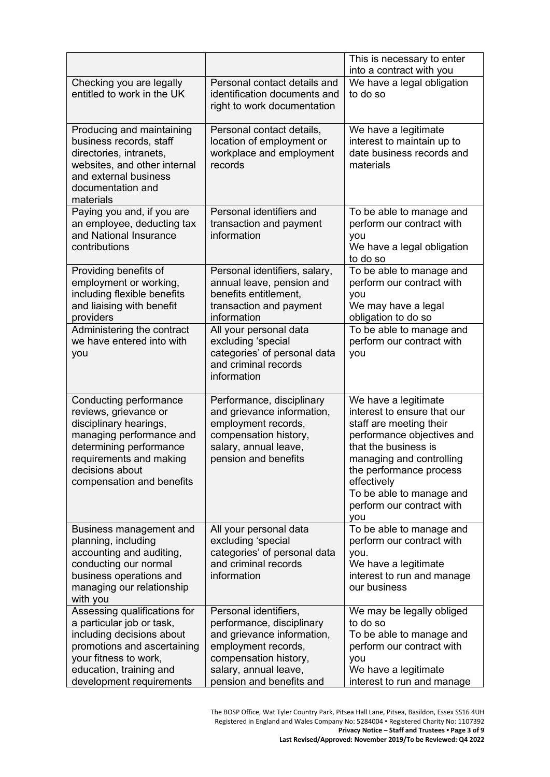|                                                                                                                                                                                                             |                                                                                                                                                                                       | This is necessary to enter<br>into a contract with you                                                                                                                                                                                                                     |
|-------------------------------------------------------------------------------------------------------------------------------------------------------------------------------------------------------------|---------------------------------------------------------------------------------------------------------------------------------------------------------------------------------------|----------------------------------------------------------------------------------------------------------------------------------------------------------------------------------------------------------------------------------------------------------------------------|
| Checking you are legally<br>entitled to work in the UK                                                                                                                                                      | Personal contact details and<br>identification documents and<br>right to work documentation                                                                                           | We have a legal obligation<br>to do so                                                                                                                                                                                                                                     |
| Producing and maintaining<br>business records, staff<br>directories, intranets,<br>websites, and other internal<br>and external business<br>documentation and<br>materials                                  | Personal contact details,<br>location of employment or<br>workplace and employment<br>records                                                                                         | We have a legitimate<br>interest to maintain up to<br>date business records and<br>materials                                                                                                                                                                               |
| Paying you and, if you are<br>an employee, deducting tax<br>and National Insurance<br>contributions                                                                                                         | Personal identifiers and<br>transaction and payment<br>information                                                                                                                    | To be able to manage and<br>perform our contract with<br>you<br>We have a legal obligation<br>to do so                                                                                                                                                                     |
| Providing benefits of<br>employment or working,<br>including flexible benefits<br>and liaising with benefit<br>providers                                                                                    | Personal identifiers, salary,<br>annual leave, pension and<br>benefits entitlement,<br>transaction and payment<br>information                                                         | To be able to manage and<br>perform our contract with<br>you<br>We may have a legal<br>obligation to do so                                                                                                                                                                 |
| Administering the contract<br>we have entered into with<br>you                                                                                                                                              | All your personal data<br>excluding 'special<br>categories' of personal data<br>and criminal records<br>information                                                                   | To be able to manage and<br>perform our contract with<br>you                                                                                                                                                                                                               |
| Conducting performance<br>reviews, grievance or<br>disciplinary hearings,<br>managing performance and<br>determining performance<br>requirements and making<br>decisions about<br>compensation and benefits | Performance, disciplinary<br>and grievance information,<br>employment records,<br>compensation history,<br>salary, annual leave,<br>pension and benefits                              | We have a legitimate<br>interest to ensure that our<br>staff are meeting their<br>performance objectives and<br>that the business is<br>managing and controlling<br>the performance process<br>effectively<br>To be able to manage and<br>perform our contract with<br>you |
| Business management and<br>planning, including<br>accounting and auditing,<br>conducting our normal<br>business operations and<br>managing our relationship<br>with you                                     | All your personal data<br>excluding 'special<br>categories' of personal data<br>and criminal records<br>information                                                                   | To be able to manage and<br>perform our contract with<br>you.<br>We have a legitimate<br>interest to run and manage<br>our business                                                                                                                                        |
| Assessing qualifications for<br>a particular job or task,<br>including decisions about<br>promotions and ascertaining<br>your fitness to work,<br>education, training and<br>development requirements       | Personal identifiers,<br>performance, disciplinary<br>and grievance information,<br>employment records,<br>compensation history,<br>salary, annual leave,<br>pension and benefits and | We may be legally obliged<br>to do so<br>To be able to manage and<br>perform our contract with<br>you<br>We have a legitimate<br>interest to run and manage                                                                                                                |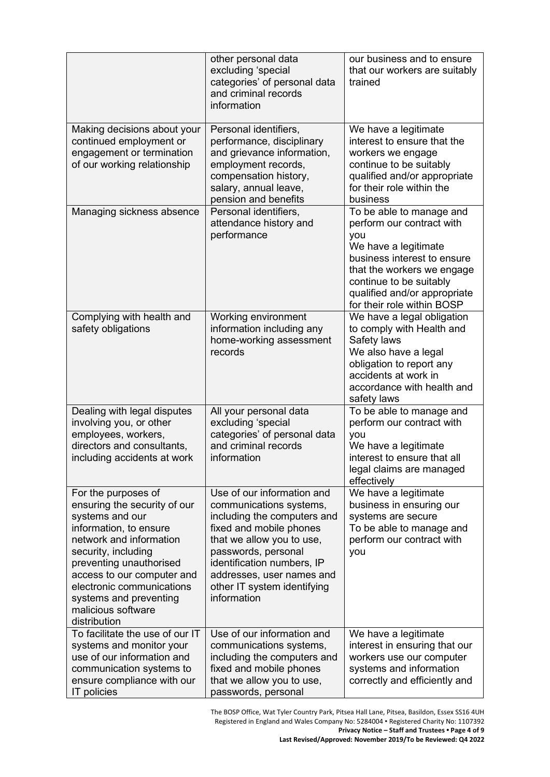|                                                                                                                                                                                                                                                                                                          | other personal data<br>excluding 'special<br>categories' of personal data<br>and criminal records<br>information                                                                                                                                                             | our business and to ensure<br>that our workers are suitably<br>trained                                                                                                                                                                     |
|----------------------------------------------------------------------------------------------------------------------------------------------------------------------------------------------------------------------------------------------------------------------------------------------------------|------------------------------------------------------------------------------------------------------------------------------------------------------------------------------------------------------------------------------------------------------------------------------|--------------------------------------------------------------------------------------------------------------------------------------------------------------------------------------------------------------------------------------------|
| Making decisions about your<br>continued employment or<br>engagement or termination<br>of our working relationship                                                                                                                                                                                       | Personal identifiers,<br>performance, disciplinary<br>and grievance information,<br>employment records,<br>compensation history,<br>salary, annual leave,<br>pension and benefits                                                                                            | We have a legitimate<br>interest to ensure that the<br>workers we engage<br>continue to be suitably<br>qualified and/or appropriate<br>for their role within the<br>business                                                               |
| Managing sickness absence                                                                                                                                                                                                                                                                                | Personal identifiers,<br>attendance history and<br>performance                                                                                                                                                                                                               | To be able to manage and<br>perform our contract with<br>you<br>We have a legitimate<br>business interest to ensure<br>that the workers we engage<br>continue to be suitably<br>qualified and/or appropriate<br>for their role within BOSP |
| Complying with health and<br>safety obligations                                                                                                                                                                                                                                                          | Working environment<br>information including any<br>home-working assessment<br>records                                                                                                                                                                                       | We have a legal obligation<br>to comply with Health and<br>Safety laws<br>We also have a legal<br>obligation to report any<br>accidents at work in<br>accordance with health and<br>safety laws                                            |
| Dealing with legal disputes<br>involving you, or other<br>employees, workers,<br>directors and consultants,<br>including accidents at work                                                                                                                                                               | All your personal data<br>excluding 'special<br>categories' of personal data<br>and criminal records<br>information                                                                                                                                                          | To be able to manage and<br>perform our contract with<br>you<br>We have a legitimate<br>interest to ensure that all<br>legal claims are managed<br>effectively                                                                             |
| For the purposes of<br>ensuring the security of our<br>systems and our<br>information, to ensure<br>network and information<br>security, including<br>preventing unauthorised<br>access to our computer and<br>electronic communications<br>systems and preventing<br>malicious software<br>distribution | Use of our information and<br>communications systems,<br>including the computers and<br>fixed and mobile phones<br>that we allow you to use,<br>passwords, personal<br>identification numbers, IP<br>addresses, user names and<br>other IT system identifying<br>information | We have a legitimate<br>business in ensuring our<br>systems are secure<br>To be able to manage and<br>perform our contract with<br>you                                                                                                     |
| To facilitate the use of our IT<br>systems and monitor your<br>use of our information and<br>communication systems to<br>ensure compliance with our<br>IT policies                                                                                                                                       | Use of our information and<br>communications systems,<br>including the computers and<br>fixed and mobile phones<br>that we allow you to use,<br>passwords, personal                                                                                                          | We have a legitimate<br>interest in ensuring that our<br>workers use our computer<br>systems and information<br>correctly and efficiently and                                                                                              |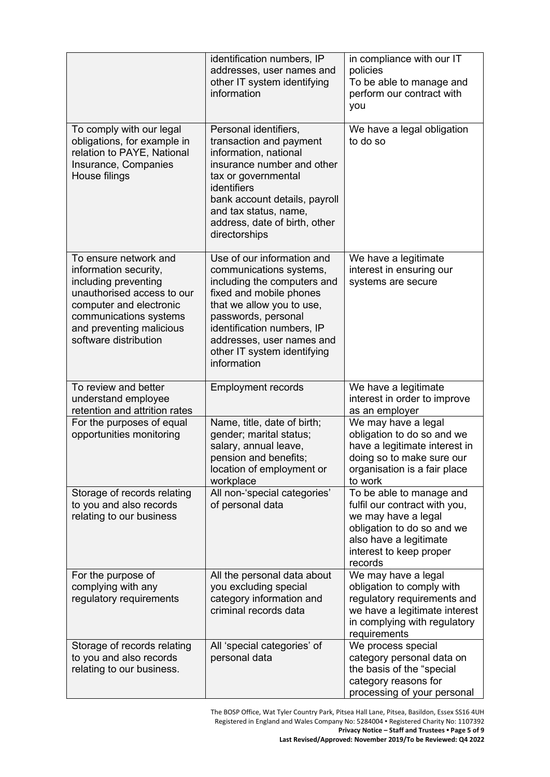|                                                                                                                                                                                                                | identification numbers, IP<br>addresses, user names and<br>other IT system identifying<br>information                                                                                                                                                                        | in compliance with our IT<br>policies<br>To be able to manage and<br>perform our contract with<br>you                                                                          |
|----------------------------------------------------------------------------------------------------------------------------------------------------------------------------------------------------------------|------------------------------------------------------------------------------------------------------------------------------------------------------------------------------------------------------------------------------------------------------------------------------|--------------------------------------------------------------------------------------------------------------------------------------------------------------------------------|
| To comply with our legal<br>obligations, for example in<br>relation to PAYE, National<br>Insurance, Companies<br>House filings                                                                                 | Personal identifiers,<br>transaction and payment<br>information, national<br>insurance number and other<br>tax or governmental<br>identifiers<br>bank account details, payroll<br>and tax status, name,<br>address, date of birth, other<br>directorships                    | We have a legal obligation<br>to do so                                                                                                                                         |
| To ensure network and<br>information security,<br>including preventing<br>unauthorised access to our<br>computer and electronic<br>communications systems<br>and preventing malicious<br>software distribution | Use of our information and<br>communications systems,<br>including the computers and<br>fixed and mobile phones<br>that we allow you to use,<br>passwords, personal<br>identification numbers, IP<br>addresses, user names and<br>other IT system identifying<br>information | We have a legitimate<br>interest in ensuring our<br>systems are secure                                                                                                         |
| To review and better<br>understand employee<br>retention and attrition rates                                                                                                                                   | <b>Employment records</b>                                                                                                                                                                                                                                                    | We have a legitimate<br>interest in order to improve<br>as an employer                                                                                                         |
| For the purposes of equal<br>opportunities monitoring                                                                                                                                                          | Name, title, date of birth;<br>gender; marital status;<br>salary, annual leave,<br>pension and benefits;<br>location of employment or<br>workplace                                                                                                                           | We may have a legal<br>obligation to do so and we<br>have a legitimate interest in<br>doing so to make sure our<br>organisation is a fair place<br>to work                     |
| Storage of records relating<br>to you and also records<br>relating to our business                                                                                                                             | All non-'special categories'<br>of personal data                                                                                                                                                                                                                             | To be able to manage and<br>fulfil our contract with you,<br>we may have a legal<br>obligation to do so and we<br>also have a legitimate<br>interest to keep proper<br>records |
| For the purpose of<br>complying with any<br>regulatory requirements                                                                                                                                            | All the personal data about<br>you excluding special<br>category information and<br>criminal records data                                                                                                                                                                    | We may have a legal<br>obligation to comply with<br>regulatory requirements and<br>we have a legitimate interest<br>in complying with regulatory<br>requirements               |
| Storage of records relating<br>to you and also records<br>relating to our business.                                                                                                                            | All 'special categories' of<br>personal data                                                                                                                                                                                                                                 | We process special<br>category personal data on<br>the basis of the "special<br>category reasons for<br>processing of your personal                                            |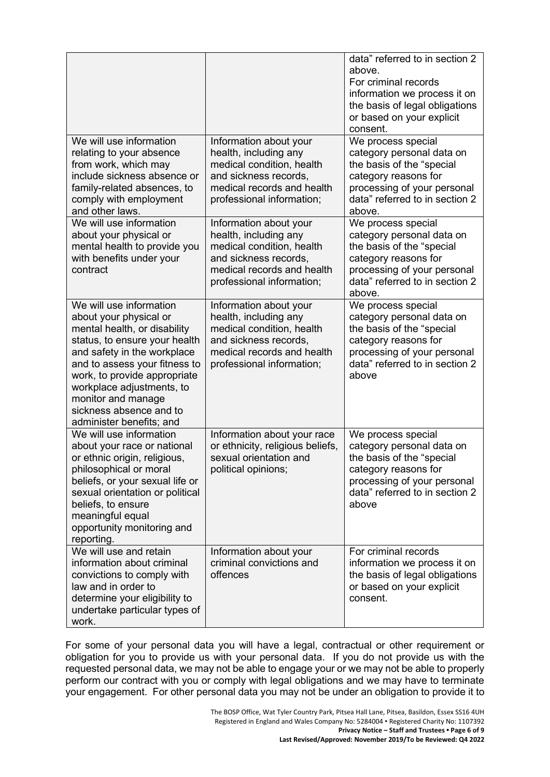|                                                                                                                                                                                                                                                                                                                              |                                                                                                                                                                  | data" referred to in section 2<br>above.<br>For criminal records<br>information we process it on<br>the basis of legal obligations<br>or based on your explicit<br>consent.     |
|------------------------------------------------------------------------------------------------------------------------------------------------------------------------------------------------------------------------------------------------------------------------------------------------------------------------------|------------------------------------------------------------------------------------------------------------------------------------------------------------------|---------------------------------------------------------------------------------------------------------------------------------------------------------------------------------|
| We will use information<br>relating to your absence<br>from work, which may<br>include sickness absence or<br>family-related absences, to<br>comply with employment<br>and other laws.                                                                                                                                       | Information about your<br>health, including any<br>medical condition, health<br>and sickness records.<br>medical records and health<br>professional information; | We process special<br>category personal data on<br>the basis of the "special<br>category reasons for<br>processing of your personal<br>data" referred to in section 2<br>above. |
| We will use information<br>about your physical or<br>mental health to provide you<br>with benefits under your<br>contract                                                                                                                                                                                                    | Information about your<br>health, including any<br>medical condition, health<br>and sickness records,<br>medical records and health<br>professional information; | We process special<br>category personal data on<br>the basis of the "special<br>category reasons for<br>processing of your personal<br>data" referred to in section 2<br>above. |
| We will use information<br>about your physical or<br>mental health, or disability<br>status, to ensure your health<br>and safety in the workplace<br>and to assess your fitness to<br>work, to provide appropriate<br>workplace adjustments, to<br>monitor and manage<br>sickness absence and to<br>administer benefits; and | Information about your<br>health, including any<br>medical condition, health<br>and sickness records,<br>medical records and health<br>professional information; | We process special<br>category personal data on<br>the basis of the "special<br>category reasons for<br>processing of your personal<br>data" referred to in section 2<br>above  |
| We will use information<br>about your race or national<br>or ethnic origin, religious,<br>philosophical or moral<br>beliefs, or your sexual life or<br>sexual orientation or political<br>beliefs, to ensure<br>meaningful equal<br>opportunity monitoring and<br>reporting.                                                 | Information about your race<br>or ethnicity, religious beliefs,<br>sexual orientation and<br>political opinions;                                                 | We process special<br>category personal data on<br>the basis of the "special<br>category reasons for<br>processing of your personal<br>data" referred to in section 2<br>above  |
| We will use and retain<br>information about criminal<br>convictions to comply with<br>law and in order to<br>determine your eligibility to<br>undertake particular types of<br>work.                                                                                                                                         | Information about your<br>criminal convictions and<br>offences                                                                                                   | For criminal records<br>information we process it on<br>the basis of legal obligations<br>or based on your explicit<br>consent.                                                 |

For some of your personal data you will have a legal, contractual or other requirement or obligation for you to provide us with your personal data. If you do not provide us with the requested personal data, we may not be able to engage your or we may not be able to properly perform our contract with you or comply with legal obligations and we may have to terminate your engagement. For other personal data you may not be under an obligation to provide it to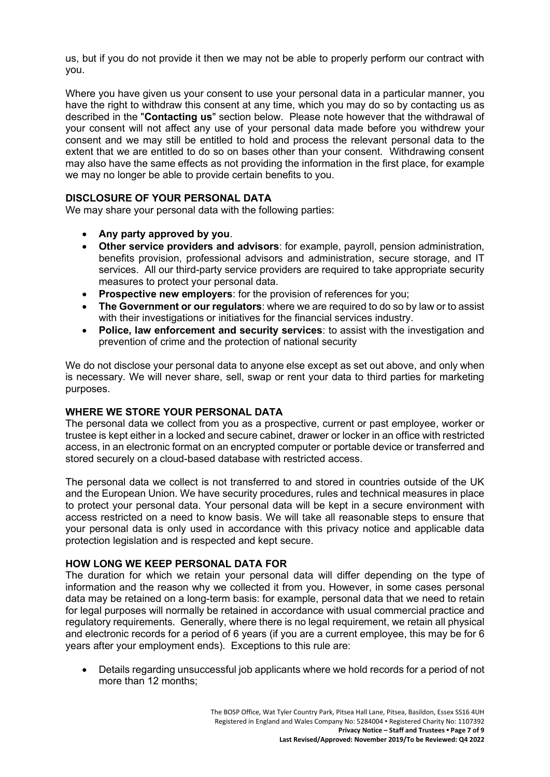us, but if you do not provide it then we may not be able to properly perform our contract with you.

Where you have given us your consent to use your personal data in a particular manner, you have the right to withdraw this consent at any time, which you may do so by contacting us as described in the "**Contacting us**" section below. Please note however that the withdrawal of your consent will not affect any use of your personal data made before you withdrew your consent and we may still be entitled to hold and process the relevant personal data to the extent that we are entitled to do so on bases other than your consent. Withdrawing consent may also have the same effects as not providing the information in the first place, for example we may no longer be able to provide certain benefits to you.

### **DISCLOSURE OF YOUR PERSONAL DATA**

We may share your personal data with the following parties:

- **Any party approved by you**.
- **Other service providers and advisors**: for example, payroll, pension administration, benefits provision, professional advisors and administration, secure storage, and IT services. All our third-party service providers are required to take appropriate security measures to protect your personal data.
- **Prospective new employers**: for the provision of references for you;
- **The Government or our regulators**: where we are required to do so by law or to assist with their investigations or initiatives for the financial services industry.
- **Police, law enforcement and security services**: to assist with the investigation and prevention of crime and the protection of national security

We do not disclose your personal data to anyone else except as set out above, and only when is necessary. We will never share, sell, swap or rent your data to third parties for marketing purposes.

### **WHERE WE STORE YOUR PERSONAL DATA**

The personal data we collect from you as a prospective, current or past employee, worker or trustee is kept either in a locked and secure cabinet, drawer or locker in an office with restricted access, in an electronic format on an encrypted computer or portable device or transferred and stored securely on a cloud-based database with restricted access.

The personal data we collect is not transferred to and stored in countries outside of the UK and the European Union. We have security procedures, rules and technical measures in place to protect your personal data. Your personal data will be kept in a secure environment with access restricted on a need to know basis. We will take all reasonable steps to ensure that your personal data is only used in accordance with this privacy notice and applicable data protection legislation and is respected and kept secure.

### **HOW LONG WE KEEP PERSONAL DATA FOR**

The duration for which we retain your personal data will differ depending on the type of information and the reason why we collected it from you. However, in some cases personal data may be retained on a long-term basis: for example, personal data that we need to retain for legal purposes will normally be retained in accordance with usual commercial practice and regulatory requirements. Generally, where there is no legal requirement, we retain all physical and electronic records for a period of 6 years (if you are a current employee, this may be for 6 years after your employment ends). Exceptions to this rule are:

• Details regarding unsuccessful job applicants where we hold records for a period of not more than 12 months;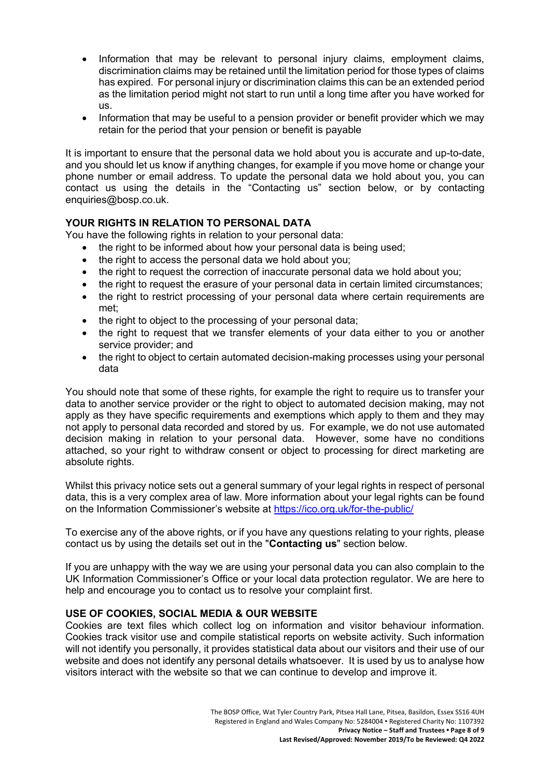- Information that may be relevant to personal injury claims, employment claims, discrimination claims may be retained until the limitation period for those types of claims has expired. For personal injury or discrimination claims this can be an extended period as the limitation period might not start to run until a long time after you have worked for us.
- Information that may be useful to a pension provider or benefit provider which we may retain for the period that your pension or benefit is payable

It is important to ensure that the personal data we hold about you is accurate and up-to-date, and you should let us know if anything changes, for example if you move home or change your phone number or email address. To update the personal data we hold about you, you can contact us using the details in the "Contacting us" section below, or by contacting enquiries@bosp.co.uk.

# **YOUR RIGHTS IN RELATION TO PERSONAL DATA**

You have the following rights in relation to your personal data:

- the right to be informed about how your personal data is being used;
- the right to access the personal data we hold about you:
- the right to request the correction of inaccurate personal data we hold about you;
- the right to request the erasure of your personal data in certain limited circumstances;
- the right to restrict processing of your personal data where certain requirements are met;
- the right to object to the processing of your personal data;
- the right to request that we transfer elements of your data either to you or another service provider; and
- the right to object to certain automated decision-making processes using your personal data

You should note that some of these rights, for example the right to require us to transfer your data to another service provider or the right to object to automated decision making, may not apply as they have specific requirements and exemptions which apply to them and they may not apply to personal data recorded and stored by us. For example, we do not use automated decision making in relation to your personal data. However, some have no conditions attached, so your right to withdraw consent or object to processing for direct marketing are absolute rights.

Whilst this privacy notice sets out a general summary of your legal rights in respect of personal data, this is a very complex area of law. More information about your legal rights can be found on the Information Commissioner's website at <https://ico.org.uk/for-the-public/>

To exercise any of the above rights, or if you have any questions relating to your rights, please contact us by using the details set out in the "**Contacting us**" section below.

If you are unhappy with the way we are using your personal data you can also complain to the UK Information Commissioner's Office or your local data protection regulator. We are here to help and encourage you to contact us to resolve your complaint first.

### **USE OF COOKIES, SOCIAL MEDIA & OUR WEBSITE**

Cookies are text files which collect log on information and visitor behaviour information. Cookies track visitor use and compile statistical reports on website activity. Such information will not identify you personally, it provides statistical data about our visitors and their use of our website and does not identify any personal details whatsoever. It is used by us to analyse how visitors interact with the website so that we can continue to develop and improve it.